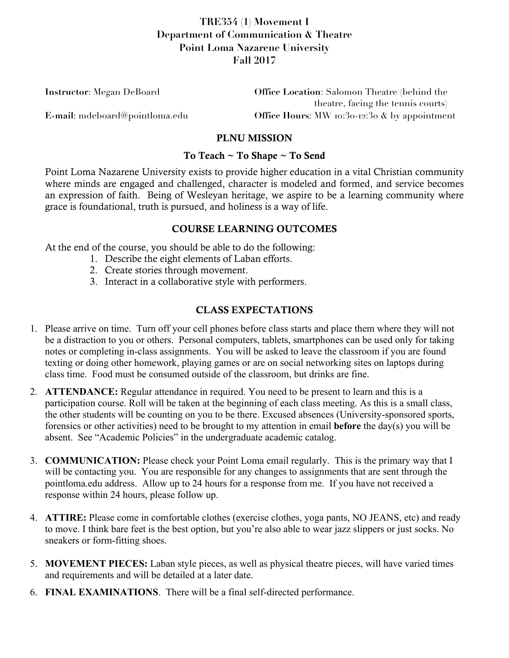# **TRE354 (1) Movement I Department of Communication & Theatre Point Loma Nazarene University Fall 2017**

| <b>Instructor:</b> Megan DeBoard | <b>Office Location:</b> Salomon Theatre (behind the |  |
|----------------------------------|-----------------------------------------------------|--|
|                                  | theatre, facing the tennis courts)                  |  |
| E-mail: mdeboard@pointloma.edu   | Office Hours: MW 10:30-12:30 $\&$ by appointment    |  |

#### PLNU MISSION

#### To Teach ~ To Shape ~ To Send

Point Loma Nazarene University exists to provide higher education in a vital Christian community where minds are engaged and challenged, character is modeled and formed, and service becomes an expression of faith. Being of Wesleyan heritage, we aspire to be a learning community where grace is foundational, truth is pursued, and holiness is a way of life.

### COURSE LEARNING OUTCOMES

At the end of the course, you should be able to do the following:

- 1. Describe the eight elements of Laban efforts.
- 2. Create stories through movement.
- 3. Interact in a collaborative style with performers.

### CLASS EXPECTATIONS

- 1. Please arrive on time. Turn off your cell phones before class starts and place them where they will not be a distraction to you or others. Personal computers, tablets, smartphones can be used only for taking notes or completing in-class assignments. You will be asked to leave the classroom if you are found texting or doing other homework, playing games or are on social networking sites on laptops during class time. Food must be consumed outside of the classroom, but drinks are fine.
- 2. **ATTENDANCE:** Regular attendance in required. You need to be present to learn and this is a participation course. Roll will be taken at the beginning of each class meeting. As this is a small class, the other students will be counting on you to be there. Excused absences (University-sponsored sports, forensics or other activities) need to be brought to my attention in email **before** the day(s) you will be absent. See "Academic Policies" in the undergraduate academic catalog.
- 3. **COMMUNICATION:** Please check your Point Loma email regularly. This is the primary way that I will be contacting you. You are responsible for any changes to assignments that are sent through the pointloma.edu address. Allow up to 24 hours for a response from me. If you have not received a response within 24 hours, please follow up.
- 4. **ATTIRE:** Please come in comfortable clothes (exercise clothes, yoga pants, NO JEANS, etc) and ready to move. I think bare feet is the best option, but you're also able to wear jazz slippers or just socks. No sneakers or form-fitting shoes.
- 5. **MOVEMENT PIECES:** Laban style pieces, as well as physical theatre pieces, will have varied times and requirements and will be detailed at a later date.
- 6. **FINAL EXAMINATIONS**. There will be a final self-directed performance.